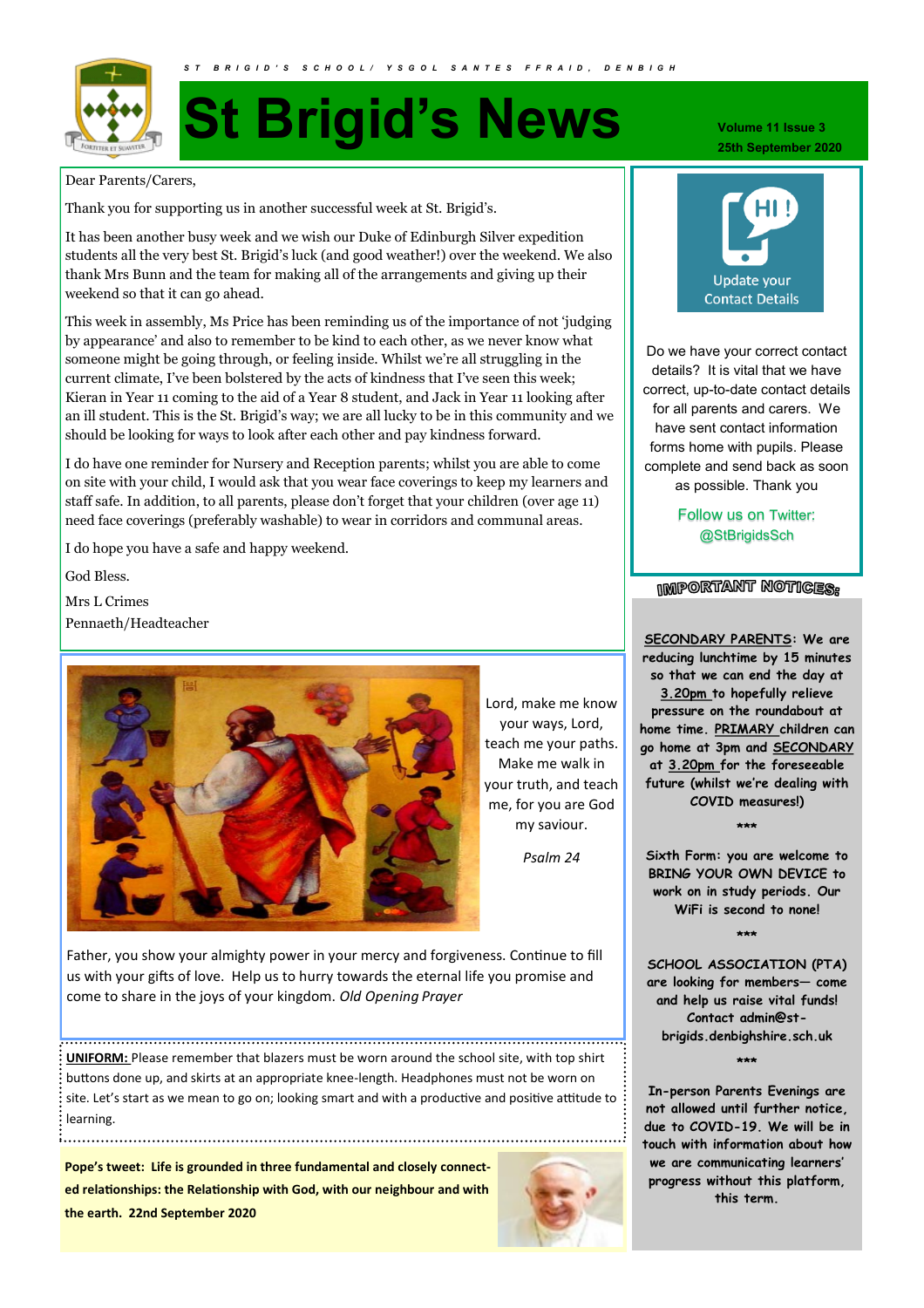

## **St Brigid's News**

Dear Parents/Carers,

Thank you for supporting us in another successful week at St. Brigid's.

It has been another busy week and we wish our Duke of Edinburgh Silver expedition students all the very best St. Brigid's luck (and good weather!) over the weekend. We also thank Mrs Bunn and the team for making all of the arrangements and giving up their weekend so that it can go ahead.

This week in assembly, Ms Price has been reminding us of the importance of not 'judging by appearance' and also to remember to be kind to each other, as we never know what someone might be going through, or feeling inside. Whilst we're all struggling in the current climate, I've been bolstered by the acts of kindness that I've seen this week; Kieran in Year 11 coming to the aid of a Year 8 student, and Jack in Year 11 looking after an ill student. This is the St. Brigid's way; we are all lucky to be in this community and we should be looking for ways to look after each other and pay kindness forward.

I do have one reminder for Nursery and Reception parents; whilst you are able to come on site with your child, I would ask that you wear face coverings to keep my learners and staff safe. In addition, to all parents, please don't forget that your children (over age 11) need face coverings (preferably washable) to wear in corridors and communal areas.

I do hope you have a safe and happy weekend.

God Bless.

Mrs L Crimes Pennaeth/Headteacher



Lord, make me know your ways, Lord, teach me your paths. Make me walk in your truth, and teach me, for you are God my saviour.

*Psalm 24* 

Father, you show your almighty power in your mercy and forgiveness. Continue to fill us with your gifts of love. Help us to hurry towards the eternal life you promise and come to share in the joys of your kingdom. *Old Opening Prayer*

**UNIFORM:** Please remember that blazers must be worn around the school site, with top shirt buttons done up, and skirts at an appropriate knee-length. Headphones must not be worn on site. Let's start as we mean to go on; looking smart and with a productive and positive attitude to  $\vdots$ learning.

**Pope's tweet: Life is grounded in three fundamental and closely connected relationships: the Relationship with God, with our neighbour and with the earth. 22nd September 2020**



**Volume 11 Issue 3 25th September 2020**



Do we have your correct contact details? It is vital that we have correct, up-to-date contact details for all parents and carers. We have sent contact information forms home with pupils. Please complete and send back as soon as possible. Thank you

> Follow us on Twitter: @StBrigidsSch

**IMPORTANT NOTICES:** 

**SECONDARY PARENTS: We are reducing lunchtime by 15 minutes so that we can end the day at 3.20pm to hopefully relieve pressure on the roundabout at home time. PRIMARY children can go home at 3pm and SECONDARY at 3.20pm for the foreseeable future (whilst we're dealing with COVID measures!)** 

**\*\*\***

**Sixth Form: you are welcome to BRING YOUR OWN DEVICE to work on in study periods. Our WiFi is second to none!** 

**\*\*\***

**SCHOOL ASSOCIATION (PTA) are looking for members— come and help us raise vital funds! Contact admin@stbrigids.denbighshire.sch.uk**

**\*\*\***

**In-person Parents Evenings are not allowed until further notice, due to COVID-19. We will be in touch with information about how we are communicating learners' progress without this platform, this term.**